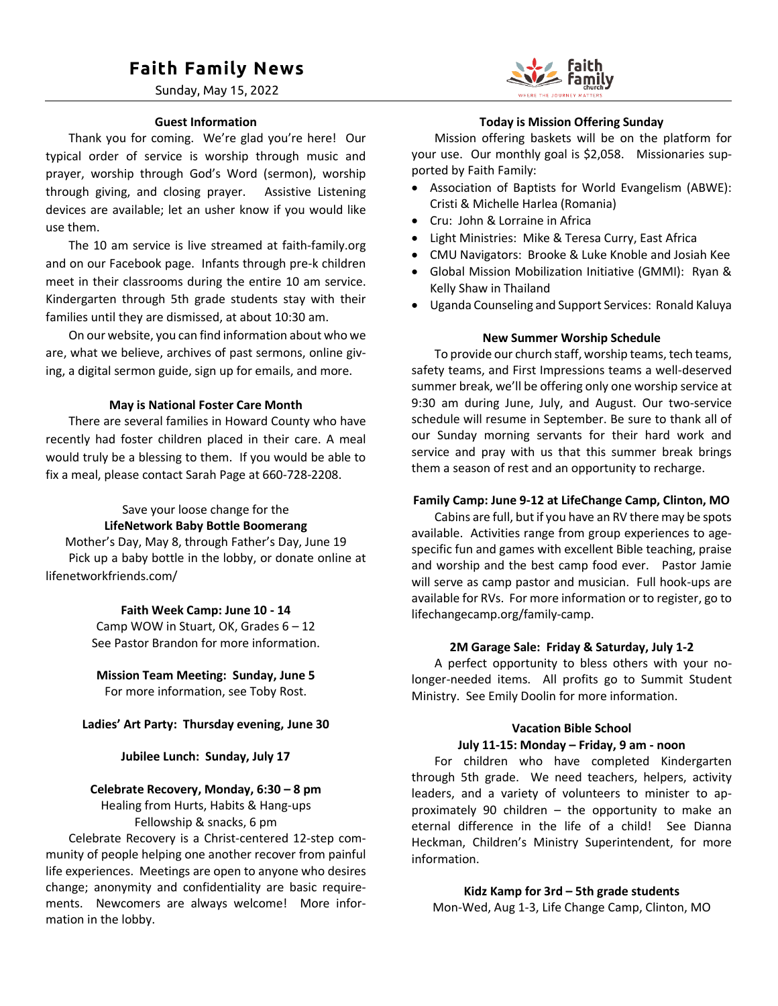# **Faith Family News**

Sunday, May 15, 2022

#### **Guest Information**

Thank you for coming. We're glad you're here! Our typical order of service is worship through music and prayer, worship through God's Word (sermon), worship through giving, and closing prayer. Assistive Listening devices are available; let an usher know if you would like use them.

The 10 am service is live streamed at faith-family.org and on our Facebook page. Infants through pre-k children meet in their classrooms during the entire 10 am service. Kindergarten through 5th grade students stay with their families until they are dismissed, at about 10:30 am.

On our website, you can find information about who we are, what we believe, archives of past sermons, online giving, a digital sermon guide, sign up for emails, and more.

#### **May is National Foster Care Month**

There are several families in Howard County who have recently had foster children placed in their care. A meal would truly be a blessing to them. If you would be able to fix a meal, please contact Sarah Page at 660-728-2208.

## Save your loose change for the **LifeNetwork Baby Bottle Boomerang**

Mother's Day, May 8, through Father's Day, June 19 Pick up a baby bottle in the lobby, or donate online at lifenetworkfriends.com/

#### **Faith Week Camp: June 10 - 14**

Camp WOW in Stuart, OK, Grades 6 – 12 See Pastor Brandon for more information.

# **Mission Team Meeting: Sunday, June 5**

For more information, see Toby Rost.

#### **Ladies' Art Party: Thursday evening, June 30**

#### **Jubilee Lunch: Sunday, July 17**

#### **Celebrate Recovery, Monday, 6:30 – 8 pm**

Healing from Hurts, Habits & Hang-ups Fellowship & snacks, 6 pm

Celebrate Recovery is a Christ-centered 12-step community of people helping one another recover from painful life experiences. Meetings are open to anyone who desires change; anonymity and confidentiality are basic requirements. Newcomers are always welcome! More information in the lobby.



#### **Today is Mission Offering Sunday**

Mission offering baskets will be on the platform for your use. Our monthly goal is \$2,058. Missionaries supported by Faith Family:

- Association of Baptists for World Evangelism (ABWE): Cristi & Michelle Harlea (Romania)
- Cru: John & Lorraine in Africa
- Light Ministries: Mike & Teresa Curry, East Africa
- CMU Navigators: Brooke & Luke Knoble and Josiah Kee
- Global Mission Mobilization Initiative (GMMI): Ryan & Kelly Shaw in Thailand
- Uganda Counseling and Support Services: Ronald Kaluya

#### **New Summer Worship Schedule**

To provide our church staff, worship teams, tech teams, safety teams, and First Impressions teams a well-deserved summer break, we'll be offering only one worship service at 9:30 am during June, July, and August. Our two-service schedule will resume in September. Be sure to thank all of our Sunday morning servants for their hard work and service and pray with us that this summer break brings them a season of rest and an opportunity to recharge.

#### **Family Camp: June 9-12 at LifeChange Camp, Clinton, MO**

Cabins are full, but if you have an RV there may be spots available. Activities range from group experiences to agespecific fun and games with excellent Bible teaching, praise and worship and the best camp food ever. Pastor Jamie will serve as camp pastor and musician. Full hook-ups are available for RVs. For more information or to register, go to lifechangecamp.org/family-camp.

#### **2M Garage Sale: Friday & Saturday, July 1-2**

A perfect opportunity to bless others with your nolonger-needed items. All profits go to Summit Student Ministry. See Emily Doolin for more information.

#### **Vacation Bible School**

#### **July 11-15: Monday – Friday, 9 am - noon**

For children who have completed Kindergarten through 5th grade. We need teachers, helpers, activity leaders, and a variety of volunteers to minister to approximately 90 children – the opportunity to make an eternal difference in the life of a child! See Dianna Heckman, Children's Ministry Superintendent, for more information.

# **Kidz Kamp for 3rd – 5th grade students**

Mon-Wed, Aug 1-3, Life Change Camp, Clinton, MO